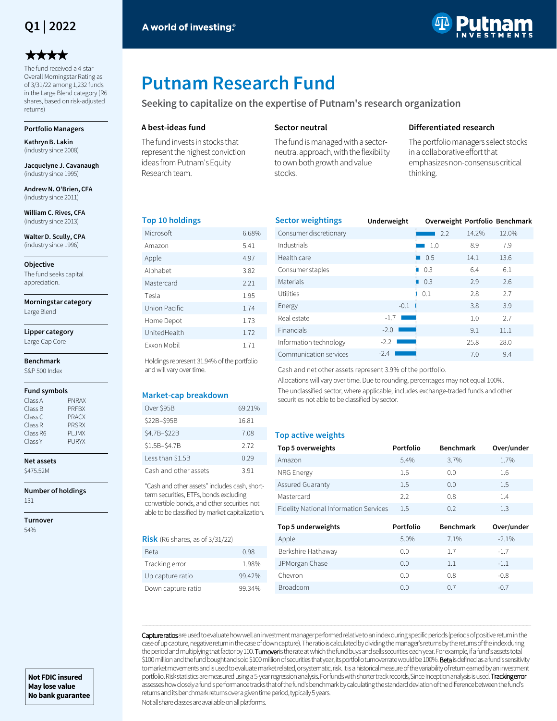## **Q1 | 2022**

# \*\*\*\*

The fund received a 4-star Overall Morningstar Rating as of 3/31/22 among 1,232 funds in the Large Blend category (R6 shares, based on risk-adjusted returns)

#### **Portfolio Managers**

**Kathryn B. Lakin**  (industry since 2008)

**Jacquelyne J. Cavanaugh**  (industry since 1995)

**Andrew N. O'Brien, CFA**  (industry since 2011)

**William C. Rives, CFA**  (industry since 2013)

**Walter D. Scully, CPA**  (industry since 1996)

**Objective**

The fund seeks capital appreciation.

**Morningstar category**

Large Blend

**Lipper category** Large-Cap Core

#### **Benchmark**

S&P 500 Index

#### **Fund symbols**

| Class A  | <b>PNRAX</b> |
|----------|--------------|
| Class B  | <b>PRFBX</b> |
| Class C  | <b>PRACX</b> |
| Class R  | <b>PRSRX</b> |
| Class R6 | <b>PLJMX</b> |
| Class Y  | <b>PURYX</b> |
|          |              |

### **Net assets**

\$475.52M

**Number of holdings** 131

**Turnover** 54%



# **Putnam Research Fund**

**Seeking to capitalize on the expertise of Putnam's research organization**

#### **A best-ideas fund**

The fund invests in stocks that represent the highest conviction ideas from Putnam's Equity Research team.

#### **Sector neutral**

The fund is managed with a sectorneutral approach, with the flexibility to own both growth and value stocks.

#### **Differentiated research**

The portfolio managers select stocks in a collaborative effort that emphasizes non-consensus critical thinking.

#### **Top 10 holdings**

| Microsoft          | 6.68% |
|--------------------|-------|
| Amazon             | 5.41  |
| Apple              | 4.97  |
| Alphabet           | 3.82  |
| Mastercard         | 2.21  |
| Tesla              | 1.95  |
| Union Pacific      | 1.74  |
| Home Depot         | 1.73  |
| UnitedHealth       | 1.72  |
| <b>Fxxon Mobil</b> | 171   |

Holdings represent 31.94% of the portfolio and will vary over time.

#### **Market-cap breakdown**

| Over \$95B            | 69.21% |
|-----------------------|--------|
| \$22B-\$95B           | 16.81  |
| \$4.7B-\$22B          | 7.08   |
| \$1.5B-\$4.7B         | 2.72   |
| Less than \$1.5B      | 0.29   |
| Cash and other assets | 391    |

"Cash and other assets" includes cash, shortterm securities, ETFs, bonds excluding convertible bonds, and other securities not able to be classified by market capitalization.

#### **Risk** (R6 shares, as of 3/31/22)

| Beta               | 0.98   |
|--------------------|--------|
| Tracking error     | 1.98%  |
| Up capture ratio   | 99.42% |
| Down capture ratio | 99.34% |

| <b>Sector weightings</b> | Underweight | Overweight Portfolio Benchmark |       |       |
|--------------------------|-------------|--------------------------------|-------|-------|
| Consumer discretionary   |             | 2.2                            | 14.2% | 12.0% |
| Industrials              |             | 1.0                            | 8.9   | 7.9   |
| Health care              |             | 0.5                            | 14.1  | 13.6  |
| Consumer staples         |             | 0.3                            | 6.4   | 6.1   |
| Materials                |             | 0.3                            | 2.9   | 2.6   |
| Utilities                |             | 0.1                            | 2.8   | 2.7   |
| Energy                   | $-0.1$      |                                | 3.8   | 3.9   |
| Real estate              | $-1.7$      |                                | 1.0   | 2.7   |
| Financials               | $-2.0$      |                                | 9.1   | 11.1  |
| Information technology   | $-2.2$      |                                | 25.8  | 28.0  |
| Communication services   | $-2.4$      |                                | 7.0   | 9.4   |

Cash and net other assets represent 3.9% of the portfolio.

Allocations will vary over time. Due to rounding, percentages may not equal 100%. The unclassified sector, where applicable, includes exchange-traded funds and other securities not able to be classified by sector.

#### **Top active weights**

| Top 5 overweights                      | Portfolio | <b>Benchmark</b> | Over/under |
|----------------------------------------|-----------|------------------|------------|
| Amazon                                 | 5.4%      | 3.7%             | 1.7%       |
| NRG Energy                             | 1.6       | 0.0              | 1.6        |
| Assured Guaranty                       | 1.5       | 0.0              | 1.5        |
| Mastercard                             | 2.2       | 0.8              | 1.4        |
| Fidelity National Information Services | 1.5       | 02               | 1.3        |
| Top 5 underweights                     | Portfolio | <b>Benchmark</b> | Over/under |

| Apple              | 5.0% | 7.1%    | $-2.1%$ |
|--------------------|------|---------|---------|
| Berkshire Hathaway | 0.0  | 1.7     | $-1.7$  |
| JPMorgan Chase     | 0.0  | $1.1\,$ | $-1.1$  |
| Chevron            | 0.0  | 0.8     | $-0.8$  |
| <b>Broadcom</b>    | 0.0  | 0.7     | $-0.7$  |

Capture ratios are used to evaluate how well an investment manager performed relative to an index during specific periods (periods of positive return in the case of up capture, negative return in the case of down capture). The ratio is calculated by dividing the manager's returns by the returns of the index during the period and multiplying that factor by 100. Turnover is the rate at which the fund buys and sells securities each year. For example, if a fund's assets total \$100 million and the fund bought and sold \$100 million of securities that year, its portfolio turnover rate would be 100%. Beta is defined as a fund's sensitivity to market movements and is used to evaluate market related, or systematic, risk. It is a historical measure of the variability of return earned by an investment portfolio. Risk statistics are measured using a 5-year regression analysis. For funds with shorter track records, Since Inception analysis is used. Tracking error assesses how closely a fund's performance tracks that of the fund's benchmark by calculating the standard deviation of the difference between the fund's returns and its benchmark returns over a given time period, typically 5 years.

―――――――――――――――――――――――――――――――――――――――――――――――――――――――――――――――――――――――――――――――――――――――――――――――――――――――――――

Not all share classes are available on all platforms.